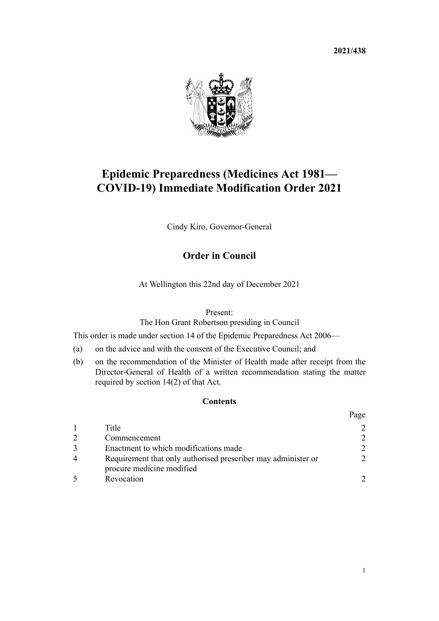**2021/438**



# **Epidemic Preparedness (Medicines Act 1981— COVID-19) Immediate Modification Order 2021**

Cindy Kiro, Governor-General

## **Order in Council**

At Wellington this 22nd day of December 2021

#### Present:

The Hon Grant Robertson presiding in Council

This order is made under [section 14](http://legislation.govt.nz/pdflink.aspx?id=DLM404494) of the [Epidemic Preparedness Act 2006](http://legislation.govt.nz/pdflink.aspx?id=DLM404458)—

- (a) on the advice and with the consent of the Executive Council; and
- (b) on the recommendation of the Minister of Health made after receipt from the Director-General of Health of a written recommendation stating the matter required by section 14(2) of that Act.

### **Contents**

|                                                                                            | Page          |
|--------------------------------------------------------------------------------------------|---------------|
| Title                                                                                      | $\mathcal{D}$ |
| Commencement                                                                               | $\mathcal{D}$ |
| Enactment to which modifications made                                                      | $\mathcal{D}$ |
| Requirement that only authorised prescriber may administer or<br>procure medicine modified | $\mathcal{D}$ |
| Revocation                                                                                 |               |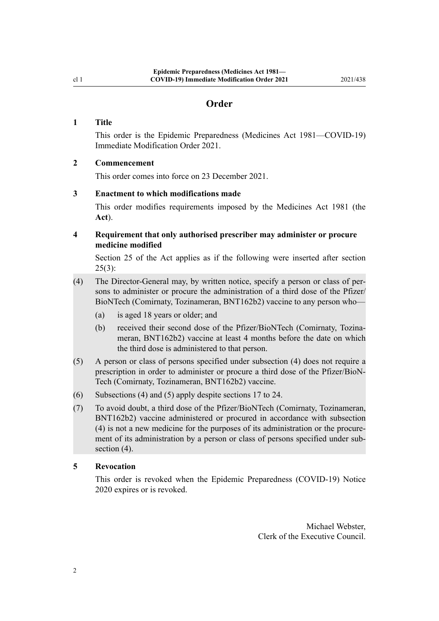#### **Order**

#### <span id="page-1-0"></span>**1 Title**

This order is the Epidemic Preparedness (Medicines Act 1981—COVID-19) Immediate Modification Order 2021.

#### **2 Commencement**

This order comes into force on 23 December 2021.

#### **3 Enactment to which modifications made**

This order modifies requirements imposed by the [Medicines Act 1981](http://legislation.govt.nz/pdflink.aspx?id=DLM53789) (the **Act**).

#### **4 Requirement that only authorised prescriber may administer or procure medicine modified**

[Section 25](http://legislation.govt.nz/pdflink.aspx?id=DLM55417) of the Act applies as if the following were inserted after [section](http://legislation.govt.nz/pdflink.aspx?id=DLM55417)  $25(3)$ :

- (4) The Director-General may, by written notice, specify a person or class of per‐ sons to administer or procure the administration of a third dose of the Pfizer/ BioNTech (Comirnaty, Tozinameran, BNT162b2) vaccine to any person who—
	- (a) is aged 18 years or older; and
	- (b) received their second dose of the Pfizer/BioNTech (Comirnaty, Tozinameran, BNT162b2) vaccine at least 4 months before the date on which the third dose is administered to that person.
- (5) A person or class of persons specified under subsection (4) does not require a prescription in order to administer or procure a third dose of the Pfizer/BioN‐ Tech (Comirnaty, Tozinameran, BNT162b2) vaccine.
- (6) Subsections (4) and (5) apply despite sections 17 to 24.
- (7) To avoid doubt, a third dose of the Pfizer/BioNTech (Comirnaty, Tozinameran, BNT162b2) vaccine administered or procured in accordance with subsection (4) is not a new medicine for the purposes of its administration or the procure‐ ment of its administration by a person or class of persons specified under subsection  $(4)$ .

#### **5 Revocation**

This order is revoked when the [Epidemic Preparedness \(COVID-19\) Notice](https://gazette.govt.nz/notice/id/2020-go1368) [2020](https://gazette.govt.nz/notice/id/2020-go1368) expires or is revoked.

> Michael Webster, Clerk of the Executive Council.